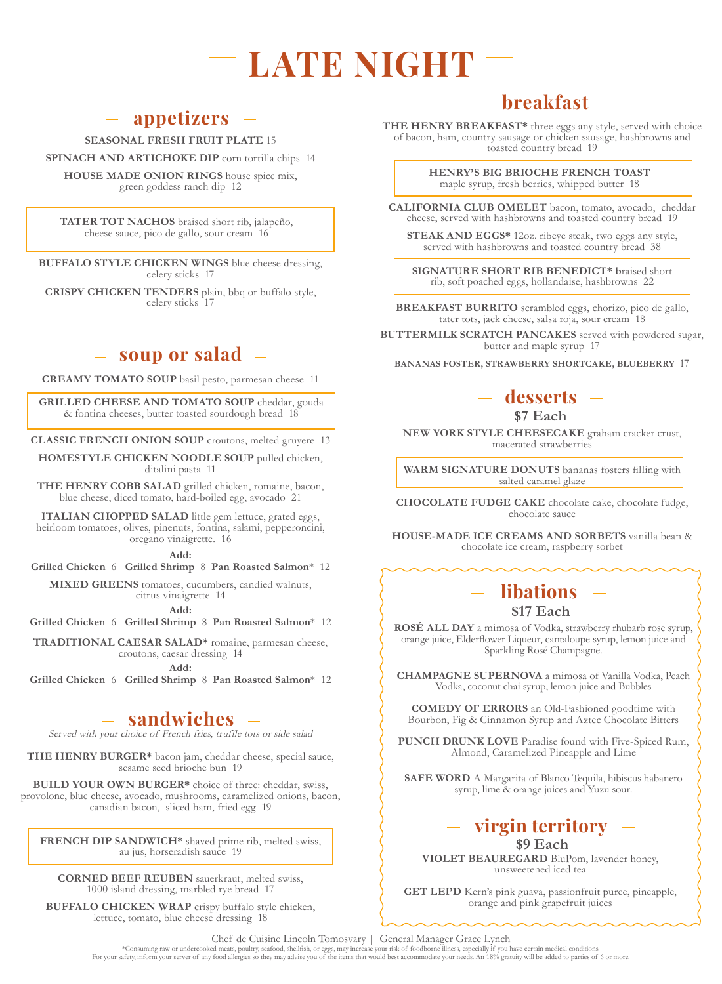# **LATE NIGHT**

## **appetizers**

**SEASONAL FRESH FRUIT PLATE** 15

**SPINACH AND ARTICHOKE DIP** corn tortilla chips 14

**HOUSE MADE ONION RINGS** house spice mix, green goddess ranch dip 12

**TATER TOT NACHOS** braised short rib, jalapeño, cheese sauce, pico de gallo, sour cream 16

**BUFFALO STYLE CHICKEN WINGS** blue cheese dressing, celery sticks 17

**CRISPY CHICKEN TENDERS** plain, bbq or buffalo style, celery sticks 17

#### **soup or salad**

**CREAMY TOMATO SOUP** basil pesto, parmesan cheese 11

**GRILLED CHEESE AND TOMATO SOUP** cheddar, gouda & fontina cheeses, butter toasted sourdough bread 18

**CLASSIC FRENCH ONION SOUP** croutons, melted gruyere 13

**HOMESTYLE CHICKEN NOODLE SOUP** pulled chicken, ditalini pasta 11

**THE HENRY COBB SALAD** grilled chicken, romaine, bacon, blue cheese, diced tomato, hard-boiled egg, avocado 21

**ITALIAN CHOPPED SALAD** little gem lettuce, grated eggs, heirloom tomatoes, olives, pinenuts, fontina, salami, pepperoncini, oregano vinaigrette. 16

**Add:** 

**Grilled Chicken** 6 **Grilled Shrimp** 8 **Pan Roasted Salmon**\* 12

**MIXED GREENS** tomatoes, cucumbers, candied walnuts, citrus vinaigrette 14

**Add:** 

**Grilled Chicken** 6 **Grilled Shrimp** 8 **Pan Roasted Salmon**\* 12 **TRADITIONAL CAESAR SALAD\*** romaine, parmesan cheese,

croutons, caesar dressing 14

**Add:** 

**Grilled Chicken** 6 **Grilled Shrimp** 8 **Pan Roasted Salmon**\* 12

### **sandwiches**

Served with your choice of French fries, truffle tots or side salad

**THE HENRY BURGER\*** bacon jam, cheddar cheese, special sauce, sesame seed brioche bun 19

**BUILD YOUR OWN BURGER\*** choice of three: cheddar, swiss, provolone, blue cheese, avocado, mushrooms, caramelized onions, bacon, canadian bacon, sliced ham, fried egg 19

**FRENCH DIP SANDWICH\*** shaved prime rib, melted swiss, au jus, horseradish sauce 19

**CORNED BEEF REUBEN** sauerkraut, melted swiss, 1000 island dressing, marbled rye bread 17

**BUFFALO CHICKEN WRAP** crispy buffalo style chicken, lettuce, tomato, blue cheese dressing 18

## **breakfast**

**THE HENRY BREAKFAST\*** three eggs any style, served with choice of bacon, ham, country sausage or chicken sausage, hashbrowns and toasted country bread 19

> **HENRY'S BIG BRIOCHE FRENCH TOAST** maple syrup, fresh berries, whipped butter 18

**CALIFORNIA CLUB OMELET** bacon, tomato, avocado, cheddar cheese, served with hashbrowns and toasted country bread 19

**STEAK AND EGGS\*** 12oz. ribeye steak, two eggs any style, served with hashbrowns and toasted country bread 38

**SIGNATURE SHORT RIB BENEDICT\* b**raised short rib, soft poached eggs, hollandaise, hashbrowns 22

**BREAKFAST BURRITO** scrambled eggs, chorizo, pico de gallo, tater tots, jack cheese, salsa roja, sour cream 18

**BUTTERMILK SCRATCH PANCAKES** served with powdered sugar, butter and maple syrup 17

**BANANAS FOSTER, STRAWBERRY SHORTCAKE, BLUEBERRY** 17

## **desserts**

**\$7 Each**

**NEW YORK STYLE CHEESECAKE** graham cracker crust, macerated strawberries

**WARM SIGNATURE DONUTS** bananas fosters filling with salted caramel glaze

**CHOCOLATE FUDGE CAKE** chocolate cake, chocolate fudge, chocolate sauce

**HOUSE-MADE ICE CREAMS AND SORBETS** vanilla bean & chocolate ice cream, raspberry sorbet

# **libations**

#### **\$17 Each**

**ROSÉ ALL DAY** a mimosa of Vodka, strawberry rhubarb rose syrup, orange juice, Elderflower Liqueur, cantaloupe syrup, lemon juice and Sparkling Rosé Champagne.

**CHAMPAGNE SUPERNOVA** a mimosa of Vanilla Vodka, Peach Vodka, coconut chai syrup, lemon juice and Bubbles

**COMEDY OF ERRORS** an Old-Fashioned goodtime with Bourbon, Fig & Cinnamon Syrup and Aztec Chocolate Bitters

**PUNCH DRUNK LOVE** Paradise found with Five-Spiced Rum, Almond, Caramelized Pineapple and Lime

**SAFE WORD** A Margarita of Blanco Tequila, hibiscus habanero syrup, lime & orange juices and Yuzu sour.

#### **virgin territory \$9 Each**

#### **VIOLET BEAUREGARD** BluPom, lavender honey, unsweetened iced tea

**GET LEI'D** Kern's pink guava, passionfruit puree, pineapple, orange and pink grapefruit juices

\*Consuming raw or undercooked meats, poultry, seafood, shellfish, or eggs, may increase your risk of foodborne illness, especially if you have certain medical conditions. For your safety, inform your server of any food allergies so they may advise you of the items that would best accommodate your needs. An 18% gratuity will be added to parties of 6 or more. Chef de Cuisine Lincoln Tomosvary | General Manager Grace Lynch